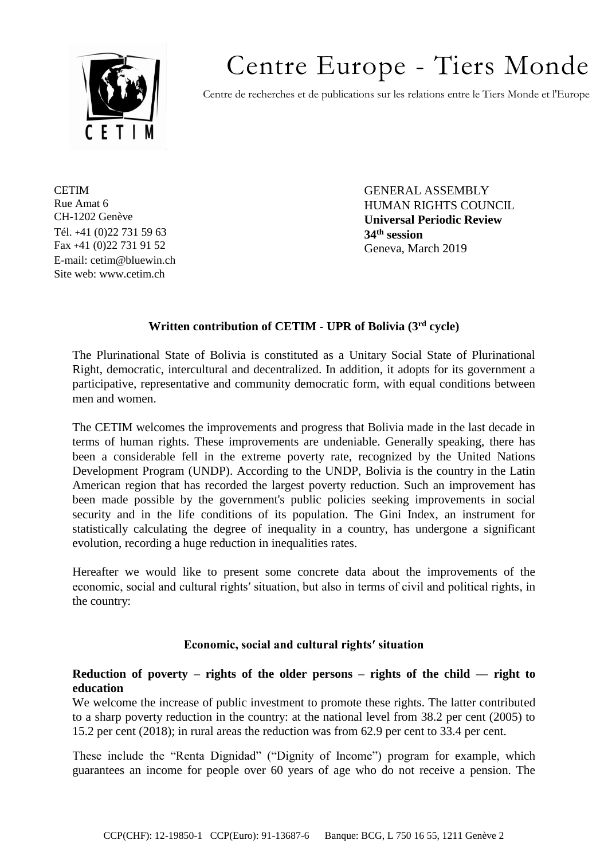

# Centre Europe - Tiers Monde

Centre de recherches et de publications sur les relations entre le Tiers Monde et l'Europe

**CETIM** Rue Amat 6 CH-1202 Genève Tél. +41 (0)22 731 59 63 Fax +41 (0)22 731 91 52 E-mail: cetim@bluewin.ch Site web: www.cetim.ch

GENERAL ASSEMBLY HUMAN RIGHTS COUNCIL **Universal Periodic Review 34th session** Geneva, March 2019

# **Written contribution of CETIM - UPR of Bolivia (3rd cycle)**

The Plurinational State of Bolivia is constituted as a Unitary Social State of Plurinational Right, democratic, intercultural and decentralized. In addition, it adopts for its government a participative, representative and community democratic form, with equal conditions between men and women.

The CETIM welcomes the improvements and progress that Bolivia made in the last decade in terms of human rights. These improvements are undeniable. Generally speaking, there has been a considerable fell in the extreme poverty rate, recognized by the United Nations Development Program (UNDP). According to the UNDP, Bolivia is the country in the Latin American region that has recorded the largest poverty reduction. Such an improvement has been made possible by the government's public policies seeking improvements in social security and in the life conditions of its population. The Gini Index, an instrument for statistically calculating the degree of inequality in a country, has undergone a significant evolution, recording a huge reduction in inequalities rates.

Hereafter we would like to present some concrete data about the improvements of the economic, social and cultural rights′ situation, but also in terms of civil and political rights, in the country:

# **Economic, social and cultural rights′ situation**

## **Reduction of poverty – rights of the older persons – rights of the child –– right to education**

We welcome the increase of public investment to promote these rights. The latter contributed to a sharp poverty reduction in the country: at the national level from 38.2 per cent (2005) to 15.2 per cent (2018); in rural areas the reduction was from 62.9 per cent to 33.4 per cent.

These include the "Renta Dignidad" ("Dignity of Income") program for example, which guarantees an income for people over 60 years of age who do not receive a pension. The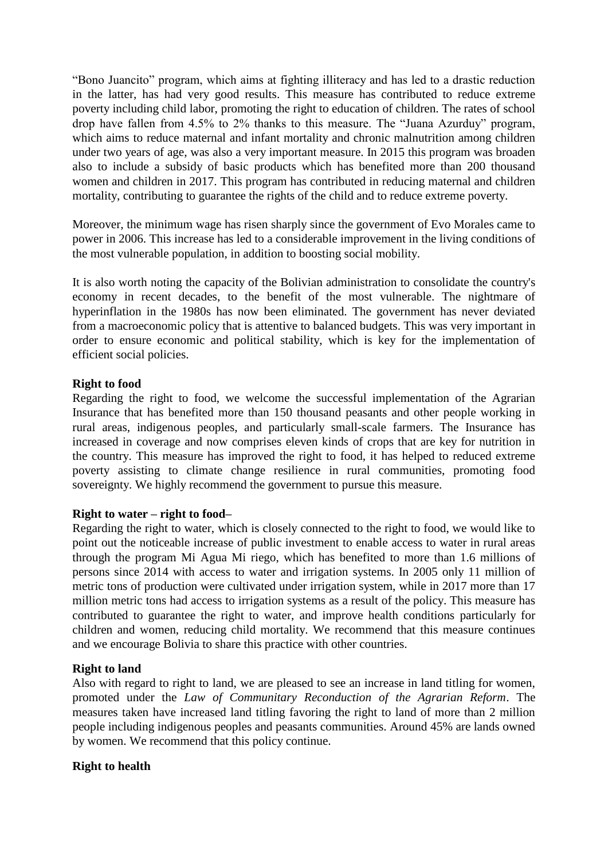"Bono Juancito" program, which aims at fighting illiteracy and has led to a drastic reduction in the latter, has had very good results. This measure has contributed to reduce extreme poverty including child labor, promoting the right to education of children. The rates of school drop have fallen from 4.5% to 2% thanks to this measure. The "Juana Azurduy" program, which aims to reduce maternal and infant mortality and chronic malnutrition among children under two years of age, was also a very important measure. In 2015 this program was broaden also to include a subsidy of basic products which has benefited more than 200 thousand women and children in 2017. This program has contributed in reducing maternal and children mortality, contributing to guarantee the rights of the child and to reduce extreme poverty.

Moreover, the minimum wage has risen sharply since the government of Evo Morales came to power in 2006. This increase has led to a considerable improvement in the living conditions of the most vulnerable population, in addition to boosting social mobility.

It is also worth noting the capacity of the Bolivian administration to consolidate the country's economy in recent decades, to the benefit of the most vulnerable. The nightmare of hyperinflation in the 1980s has now been eliminated. The government has never deviated from a macroeconomic policy that is attentive to balanced budgets. This was very important in order to ensure economic and political stability, which is key for the implementation of efficient social policies.

## **Right to food**

Regarding the right to food, we welcome the successful implementation of the Agrarian Insurance that has benefited more than 150 thousand peasants and other people working in rural areas, indigenous peoples, and particularly small-scale farmers. The Insurance has increased in coverage and now comprises eleven kinds of crops that are key for nutrition in the country. This measure has improved the right to food, it has helped to reduced extreme poverty assisting to climate change resilience in rural communities, promoting food sovereignty. We highly recommend the government to pursue this measure.

#### **Right to water – right to food–**

Regarding the right to water, which is closely connected to the right to food, we would like to point out the noticeable increase of public investment to enable access to water in rural areas through the program Mi Agua Mi riego, which has benefited to more than 1.6 millions of persons since 2014 with access to water and irrigation systems. In 2005 only 11 million of metric tons of production were cultivated under irrigation system, while in 2017 more than 17 million metric tons had access to irrigation systems as a result of the policy. This measure has contributed to guarantee the right to water, and improve health conditions particularly for children and women, reducing child mortality. We recommend that this measure continues and we encourage Bolivia to share this practice with other countries.

#### **Right to land**

Also with regard to right to land, we are pleased to see an increase in land titling for women, promoted under the *Law of Communitary Reconduction of the Agrarian Reform*. The measures taken have increased land titling favoring the right to land of more than 2 million people including indigenous peoples and peasants communities. Around 45% are lands owned by women. We recommend that this policy continue.

#### **Right to health**